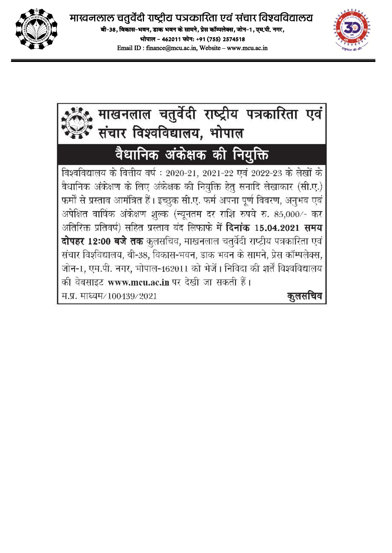

Email ID: finance@mcu.ac.in. Website - www.mcu.ac.in



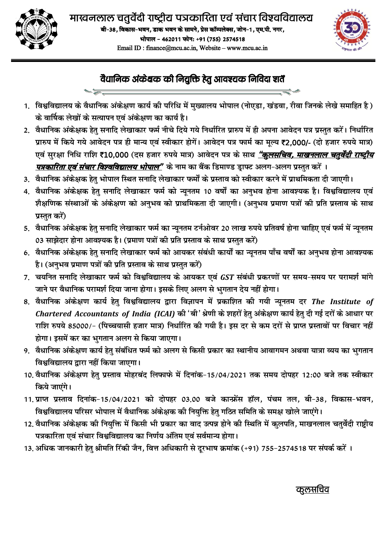



## वैधानिक अंकेक्षक की नियुक्ति हेतु आवश्यक निविदा शर्तें

- 1. विश्वविद्यालय के वैधानिक अंकेक्षण कार्य की परिधि में मुख्यालय भोपाल (नोएडा, खंडवा, रीवा जिनके लेखे समाहित है) के वार्षिक लेखों के सत्यापन एवं अंकेक्षण का कार्य है।
- 2. वैधानिक अंकेक्षक हेतु सनादि लेखाकार फर्म नीचे दिये गये निर्धारित प्रारुप में ही अपना आवेदन पत्र प्रस्तुत करें। निर्धारित प्रारुप में किये गये आवेदन पत्र ही मान्य एवं स्वीकार होगें। आवेदन पत्र फार्म का मूल्य ₹2,000/- (दो हजार रुपये मात्र) एवं सुरक्षा निधि राशि ₹10,000 (दस हजार रुपये मात्र) आवेदन पत्र के साथ *"कुलसचिव, माखनलाल चतुर्वेदी राष्ट्रीय* <u>*पत्रकारिता एवं संचार विश्वविद्यालय भोपाल"</mark> के* नाम का बैंक डिमाण्ड ड्राफ्ट अलग-अलग प्रस्तुत करें ।</u>
- 3. वैधानिक अंकेक्षक हेतु भोपाल स्थित सनादि लेखाकार फर्मों के प्रस्ताव को स्वीकार करने में प्राथमिकता दी जाएगी।
- 4. वैधानिक अंकेक्षक हेतु सनादि लेखाकार फर्म को न्यूनतम 10 वर्षों का अनुभव होना आवश्यक है। विश्वविद्यालय एवं शैक्षणिक संस्थाओं के अंकेक्षण को अनुभव को प्राथमिकता दी जाएगी। (अनुभव प्रमाण पत्रों की प्रति प्रस्ताव के साथ प्रस्तुत करें)
- 5. वैधानिक अंकेक्षक हेतु सनादि लेखाकार फर्म का न्यूनतम टर्नओवर 20 लाख रुपये प्रतिवर्ष होना चाहिए एवं फर्म में न्यूनतम 03 साझेदार होना आवश्यक है। (प्रमाण पत्रों की प्रति प्रस्ताव के साथ प्रस्तुत करें)
- 6. वैधानिक अंकेक्षक हेत् सनादि लेखाकार फर्म को आयकर संबंधी कार्यों का न्यूनतम पाँच वर्षों का अनुभव होना आवश्यक है। (अनुभव प्रमाण पत्रों की प्रति प्रस्ताव के साथ प्रस्तुत करें)
- 7. चयनित सनादि लेखाकार फर्म को विश्वविद्यालय के आयकर एवं GST संबंधी प्रकरणों पर समय-समय पर परामर्श मांगे जाने पर वैधानिक परामर्श दिया जाना होगा। इसके लिए अलग से भुगतान देय नहीं होगा।
- 8. वैधानिक अंकेक्षण कार्य हेतु विश्वविद्यालय द्वारा विज्ञापन में प्रकाशित की गयी न्यूनतम दर The Institute of Chartered Accountants of India (ICAI) की 'बी' श्रेणी के शहरों हेतु अंकेक्षण कार्य हेतु दी गई दरों के आधार पर राशि रुपये 85000/- (पिच्चयासी हजार मात्र) निर्धारित की गयी है। इस दर से कम दरों से प्राप्त प्रस्तावों पर विचार नहीं होगा। इसमें कर का भुगतान अलग से किया जाएगा।
- 9. वैधानिक अंकेक्षण कार्य हेतु संबंधित फर्म को अलग से किसी प्रकार का स्थानीय आवागमन अथवा यात्रा व्यय का भुगतान विश्वविद्यालय द्वारा नहीं किया जाएगा।
- 10. वैधानिक अंकेक्षण हेतु प्रस्ताव मोहरबंद लिफाफे में दिनांक-15/04/2021 तक समय दोपहर 12:00 बजे तक स्वीकार किये जाएंगे।
- 11. प्राप्त प्रस्ताव दिनांक-15/04/2021 को दोपहर 03.00 बजे कान्फ्रेंस हॉल, पंचम तल, बी-38, विकास-भवन, विश्वविद्यालय परिसर भोपाल में वैधानिक अंकेक्षक की नियुक्ति हेतु गठित समिति के समक्ष खोले जाएंगे।
- 12. वैधानिक अंकेक्षक की नियुक्ति में किसी भी प्रकार का वाद उत्पन्न होने की स्थिति में कुलपति, माखनलाल चतुर्वेदी राष्ट्रीय पत्रकारिता एवं संचार विश्वविद्यालय का निर्णय अंतिम एवं सर्वमान्य होगा।
- 13. अधिक जानकारी हेतु श्रीमति रिंकी जैन, वित्त अधिकारी से दूरभाष क्रमांक (+91) 755-2574518 पर संपर्क करें ।

<u>कूलसचिव</u>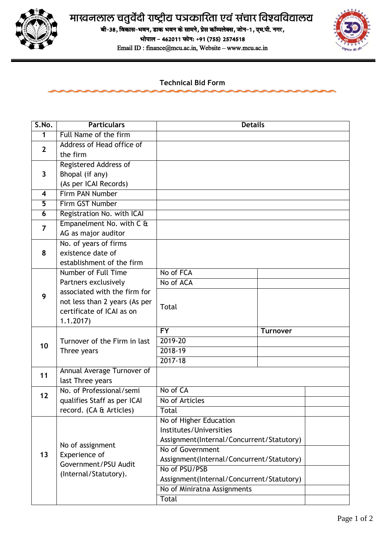

## माखनलाल चतुर्वेदी राष्ट्रीय पत्रकारिता एवं संचार विश्वविद्यालय

aी-38, विकास-भवन, डाक भवन के सामने, प्रेस कॉम्पलेक्स, जोन-1, एम.पी. नगर,

भोपाल - 462011 फोन: +91 (755) 2574518

Email ID : finance@mcu.ac.in, Website – www.mcu.ac.in



**Technical Bid Form**

| S.No.                   | <b>Particulars</b>                                                                 | <b>Details</b>                            |                 |  |
|-------------------------|------------------------------------------------------------------------------------|-------------------------------------------|-----------------|--|
| 1                       | Full Name of the firm                                                              |                                           |                 |  |
| $\mathbf{2}$            | Address of Head office of                                                          |                                           |                 |  |
|                         | the firm                                                                           |                                           |                 |  |
| 3                       | <b>Registered Address of</b>                                                       |                                           |                 |  |
|                         | Bhopal (if any)                                                                    |                                           |                 |  |
|                         | (As per ICAI Records)                                                              |                                           |                 |  |
| $\overline{\mathbf{4}}$ | Firm PAN Number                                                                    |                                           |                 |  |
| 5                       | Firm GST Number                                                                    |                                           |                 |  |
| 6                       | Registration No. with ICAI                                                         |                                           |                 |  |
| 7                       | Empanelment No. with C &                                                           |                                           |                 |  |
|                         | AG as major auditor                                                                |                                           |                 |  |
| 8                       | No. of years of firms                                                              |                                           |                 |  |
|                         | existence date of                                                                  |                                           |                 |  |
|                         | establishment of the firm                                                          |                                           |                 |  |
|                         | Number of Full Time                                                                | No of FCA                                 |                 |  |
|                         | Partners exclusively                                                               | No of ACA                                 |                 |  |
| 9                       | associated with the firm for                                                       |                                           |                 |  |
|                         | not less than 2 years (As per                                                      | Total                                     |                 |  |
|                         | certificate of ICAI as on                                                          |                                           |                 |  |
|                         | 1.1.2017                                                                           |                                           |                 |  |
|                         |                                                                                    | $\overline{FY}$                           | <b>Turnover</b> |  |
| 10                      | Turnover of the Firm in last                                                       | 2019-20                                   |                 |  |
|                         | Three years                                                                        | 2018-19                                   |                 |  |
|                         |                                                                                    | $2017 - 18$                               |                 |  |
| 11                      | Annual Average Turnover of                                                         |                                           |                 |  |
|                         | last Three years                                                                   |                                           |                 |  |
| 12                      | No. of Professional/semi                                                           | No of CA                                  |                 |  |
|                         | qualifies Staff as per ICAI                                                        | No of Articles                            |                 |  |
|                         | record. (CA & Articles)                                                            | <b>Total</b>                              |                 |  |
|                         |                                                                                    | No of Higher Education                    |                 |  |
|                         |                                                                                    | Institutes/Universities                   |                 |  |
|                         |                                                                                    | Assignment(Internal/Concurrent/Statutory) |                 |  |
| 13                      | No of assignment<br>Experience of<br>Government/PSU Audit<br>(Internal/Statutory). | No of Government                          |                 |  |
|                         |                                                                                    | Assignment(Internal/Concurrent/Statutory) |                 |  |
|                         |                                                                                    | No of PSU/PSB                             |                 |  |
|                         |                                                                                    | Assignment(Internal/Concurrent/Statutory) |                 |  |
|                         |                                                                                    | No of Miniratna Assignments               |                 |  |
|                         |                                                                                    | Total                                     |                 |  |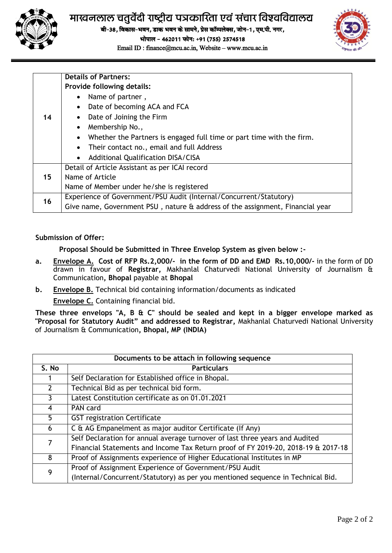

## माखनलाल चतुर्वेदी राष्ट्रीय पत्रकारिता एवं संचार विश्वविद्यालय

बी-38, विकास-भवन, डाक भवन के सामने, प्रेस कॉम्पलेक्स, जोन-1, एम.पी. नगर,

भोपाल - 462011 फोन: +91 (755) 2574518

Email ID : finance@mcu.ac.in, Website – www.mcu.ac.in



|    | <b>Details of Partners:</b>                                                        |  |  |
|----|------------------------------------------------------------------------------------|--|--|
|    | <b>Provide following details:</b>                                                  |  |  |
| 14 | Name of partner,<br>$\bullet$                                                      |  |  |
|    | Date of becoming ACA and FCA<br>$\bullet$                                          |  |  |
|    | Date of Joining the Firm                                                           |  |  |
|    | Membership No.,                                                                    |  |  |
|    | Whether the Partners is engaged full time or part time with the firm.<br>$\bullet$ |  |  |
|    | Their contact no., email and full Address                                          |  |  |
|    | <b>Additional Qualification DISA/CISA</b><br>$\bullet$                             |  |  |
|    | Detail of Article Assistant as per ICAI record                                     |  |  |
| 15 | Name of Article                                                                    |  |  |
|    | Name of Member under he/she is registered                                          |  |  |
| 16 | Experience of Government/PSU Audit (Internal/Concurrent/Statutory)                 |  |  |
|    | Give name, Government PSU, nature & address of the assignment, Financial year      |  |  |

## **Submission of Offer:**

**Proposal Should be Submitted in Three Envelop System as given below :-**

- **a. Envelope A. Cost of RFP Rs.2,000/- in the form of DD and EMD Rs.10,000/-** in the form of DD drawn in favour of **Registrar,** Makhanlal Chaturvedi National University of Journalism & Communication**, Bhopal** payable at **Bhopal**
- **b. Envelope B.** Technical bid containing information/documents as indicated **Envelope C.** Containing financial bid.

**These three envelops "A, B & C" should be sealed and kept in a bigger envelope marked as "Proposal for Statutory Audit" and addressed to Registrar,** Makhanlal Chaturvedi National University of Journalism & Communication**, Bhopal, MP (INDIA)**

| Documents to be attach in following sequence |                                                                                   |  |  |  |
|----------------------------------------------|-----------------------------------------------------------------------------------|--|--|--|
| S. No                                        | <b>Particulars</b>                                                                |  |  |  |
|                                              | Self Declaration for Established office in Bhopal.                                |  |  |  |
| $\mathcal{P}$                                | Technical Bid as per technical bid form.                                          |  |  |  |
| 3                                            | Latest Constitution certificate as on 01.01.2021                                  |  |  |  |
| 4                                            | PAN card                                                                          |  |  |  |
| 5.                                           | <b>GST registration Certificate</b>                                               |  |  |  |
| 6                                            | C & AG Empanelment as major auditor Certificate (If Any)                          |  |  |  |
| 7                                            | Self Declaration for annual average turnover of last three years and Audited      |  |  |  |
|                                              | Financial Statements and Income Tax Return proof of FY 2019-20, 2018-19 & 2017-18 |  |  |  |
| 8                                            | Proof of Assignments experience of Higher Educational Institutes in MP            |  |  |  |
| 9                                            | Proof of Assignment Experience of Government/PSU Audit                            |  |  |  |
|                                              | (Internal/Concurrent/Statutory) as per you mentioned sequence in Technical Bid.   |  |  |  |